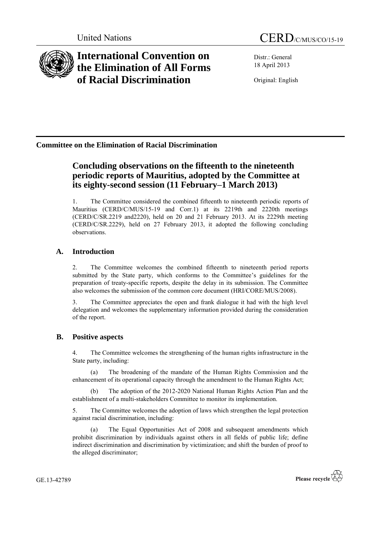

# **International Convention on the Elimination of All Forms of Racial Discrimination**

Distr.: General 18 April 2013

Original: English

## **Committee on the Elimination of Racial Discrimination**

## **Concluding observations on the fifteenth to the nineteenth periodic reports of Mauritius, adopted by the Committee at its eighty-second session (11 February–1 March 2013)**

1. The Committee considered the combined fifteenth to nineteenth periodic reports of Mauritius (CERD/C/MUS/15-19 and Corr.1) at its 2219th and 2220th meetings (CERD/C/SR.2219 and2220), held on 20 and 21 February 2013. At its 2229th meeting (CERD/C/SR.2229), held on 27 February 2013, it adopted the following concluding observations.

## **A. Introduction**

2. The Committee welcomes the combined fifteenth to nineteenth period reports submitted by the State party, which conforms to the Committee's guidelines for the preparation of treaty-specific reports, despite the delay in its submission. The Committee also welcomes the submission of the common core document (HRI/CORE/MUS/2008).

3. The Committee appreciates the open and frank dialogue it had with the high level delegation and welcomes the supplementary information provided during the consideration of the report.

### **B. Positive aspects**

4. The Committee welcomes the strengthening of the human rights infrastructure in the State party, including:

(a) The broadening of the mandate of the Human Rights Commission and the enhancement of its operational capacity through the amendment to the Human Rights Act;

(b) The adoption of the 2012-2020 National Human Rights Action Plan and the establishment of a multi-stakeholders Committee to monitor its implementation.

5. The Committee welcomes the adoption of laws which strengthen the legal protection against racial discrimination, including:

(a) The Equal Opportunities Act of 2008 and subsequent amendments which prohibit discrimination by individuals against others in all fields of public life; define indirect discrimination and discrimination by victimization; and shift the burden of proof to the alleged discriminator;

GE.13-42789

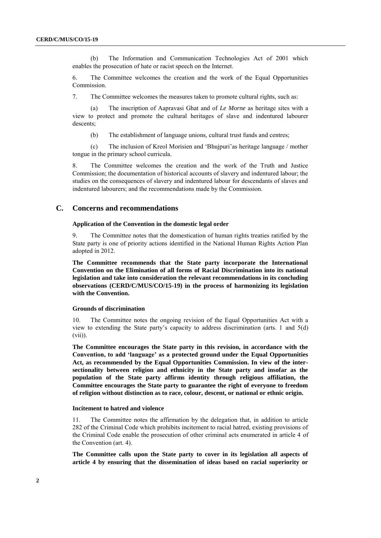(b) The Information and Communication Technologies Act of 2001 which enables the prosecution of hate or racist speech on the Internet.

6. The Committee welcomes the creation and the work of the Equal Opportunities Commission.

7. The Committee welcomes the measures taken to promote cultural rights, such as:

(a) The inscription of Aapravasi Ghat and of *Le Morne* as heritage sites with a view to protect and promote the cultural heritages of slave and indentured labourer descents;

(b) The establishment of language unions, cultural trust funds and centres;

(c) The inclusion of Kreol Morisien and 'Bhujpuri'as heritage language / mother tongue in the primary school curricula.

8. The Committee welcomes the creation and the work of the Truth and Justice Commission; the documentation of historical accounts of slavery and indentured labour; the studies on the consequences of slavery and indentured labour for descendants of slaves and indentured labourers; and the recommendations made by the Commission.

#### **C. Concerns and recommendations**

#### **Application of the Convention in the domestic legal order**

9. The Committee notes that the domestication of human rights treaties ratified by the State party is one of priority actions identified in the National Human Rights Action Plan adopted in 2012.

**The Committee recommends that the State party incorporate the International Convention on the Elimination of all forms of Racial Discrimination into its national legislation and take into consideration the relevant recommendations in its concluding observations (CERD/C/MUS/CO/15-19) in the process of harmonizing its legislation with the Convention.**

#### **Grounds of discrimination**

10. The Committee notes the ongoing revision of the Equal Opportunities Act with a view to extending the State party's capacity to address discrimination (arts. 1 and 5(d) (vii)).

**The Committee encourages the State party in this revision, in accordance with the Convention, to add "language" as a protected ground under the Equal Opportunities Act, as recommended by the Equal Opportunities Commission. In view of the intersectionality between religion and ethnicity in the State party and insofar as the population of the State party affirms identity through religious affiliation, the Committee encourages the State party to guarantee the right of everyone to freedom of religion without distinction as to race, colour, descent, or national or ethnic origin.**

#### **Incitement to hatred and violence**

11. The Committee notes the affirmation by the delegation that, in addition to article 282 of the Criminal Code which prohibits incitement to racial hatred, existing provisions of the Criminal Code enable the prosecution of other criminal acts enumerated in article 4 of the Convention (art. 4).

**The Committee calls upon the State party to cover in its legislation all aspects of article 4 by ensuring that the dissemination of ideas based on racial superiority or**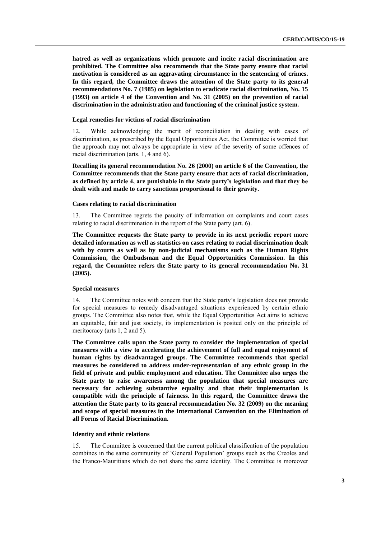**hatred as well as organizations which promote and incite racial discrimination are prohibited. The Committee also recommends that the State party ensure that racial motivation is considered as an aggravating circumstance in the sentencing of crimes. In this regard, the Committee draws the attention of the State party to its general recommendations No. 7 (1985) on legislation to eradicate racial discrimination, No. 15 (1993) on article 4 of the Convention and No. 31 (2005) on the prevention of racial discrimination in the administration and functioning of the criminal justice system.**

#### **Legal remedies for victims of racial discrimination**

12. While acknowledging the merit of reconciliation in dealing with cases of discrimination, as prescribed by the Equal Opportunities Act, the Committee is worried that the approach may not always be appropriate in view of the severity of some offences of racial discrimination (arts. 1, 4 and 6).

**Recalling its general recommendation No. 26 (2000) on article 6 of the Convention, the Committee recommends that the State party ensure that acts of racial discrimination, as defined by article 4, are punishable in the State party"s legislation and that they be dealt with and made to carry sanctions proportional to their gravity.**

#### **Cases relating to racial discrimination**

13. The Committee regrets the paucity of information on complaints and court cases relating to racial discrimination in the report of the State party (art. 6).

**The Committee requests the State party to provide in its next periodic report more detailed information as well as statistics on cases relating to racial discrimination dealt with by courts as well as by non-judicial mechanisms such as the Human Rights Commission, the Ombudsman and the Equal Opportunities Commission. In this regard, the Committee refers the State party to its general recommendation No. 31 (2005).**

#### **Special measures**

14. The Committee notes with concern that the State party's legislation does not provide for special measures to remedy disadvantaged situations experienced by certain ethnic groups. The Committee also notes that, while the Equal Opportunities Act aims to achieve an equitable, fair and just society, its implementation is posited only on the principle of meritocracy (arts 1, 2 and 5).

**The Committee calls upon the State party to consider the implementation of special measures with a view to accelerating the achievement of full and equal enjoyment of human rights by disadvantaged groups. The Committee recommends that special measures be considered to address under-representation of any ethnic group in the field of private and public employment and education. The Committee also urges the State party to raise awareness among the population that special measures are necessary for achieving substantive equality and that their implementation is compatible with the principle of fairness. In this regard, the Committee draws the attention the State party to its general recommendation No. 32 (2009) on the meaning and scope of special measures in the International Convention on the Elimination of all Forms of Racial Discrimination.**

#### **Identity and ethnic relations**

15. The Committee is concerned that the current political classification of the population combines in the same community of 'General Population' groups such as the Creoles and the Franco-Mauritians which do not share the same identity. The Committee is moreover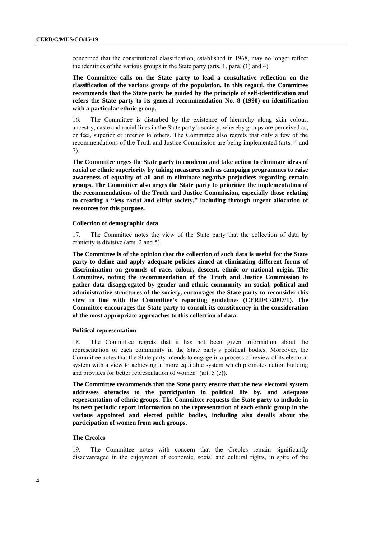concerned that the constitutional classification, established in 1968, may no longer reflect the identities of the various groups in the State party (arts. 1, para. (1) and 4).

**The Committee calls on the State party to lead a consultative reflection on the classification of the various groups of the population. In this regard, the Committee recommends that the State party be guided by the principle of self-identification and refers the State party to its general recommendation No. 8 (1990) on identification with a particular ethnic group.**

16. The Committee is disturbed by the existence of hierarchy along skin colour, ancestry, caste and racial lines in the State party's society, whereby groups are perceived as, or feel, superior or inferior to others. The Committee also regrets that only a few of the recommendations of the Truth and Justice Commission are being implemented (arts. 4 and 7).

**The Committee urges the State party to condemn and take action to eliminate ideas of racial or ethnic superiority by taking measures such as campaign programmes to raise awareness of equality of all and to eliminate negative prejudices regarding certain groups. The Committee also urges the State party to prioritize the implementation of the recommendations of the Truth and Justice Commission, especially those relating to creating a "less racist and elitist society," including through urgent allocation of resources for this purpose.**

#### **Collection of demographic data**

17. The Committee notes the view of the State party that the collection of data by ethnicity is divisive (arts. 2 and 5).

**The Committee is of the opinion that the collection of such data is useful for the State party to define and apply adequate policies aimed at eliminating different forms of discrimination on grounds of race, colour, descent, ethnic or national origin. The Committee, noting the recommendation of the Truth and Justice Commission to gather data disaggregated by gender and ethnic community on social, political and administrative structures of the society, encourages the State party to reconsider this view in line with the Committee"s reporting guidelines (CERD/C/2007/1)**. **The Committee encourages the State party to consult its constituency in the consideration of the most appropriate approaches to this collection of data.**

#### **Political representation**

18. The Committee regrets that it has not been given information about the representation of each community in the State party's political bodies. Moreover, the Committee notes that the State party intends to engage in a process of review of its electoral system with a view to achieving a 'more equitable system which promotes nation building and provides for better representation of women' (art. 5 (c)).

**The Committee recommends that the State party ensure that the new electoral system addresses obstacles to the participation in political life by, and adequate representation of ethnic groups. The Committee requests the State party to include in its next periodic report information on the representation of each ethnic group in the various appointed and elected public bodies, including also details about the participation of women from such groups.**

#### **The Creoles**

19. The Committee notes with concern that the Creoles remain significantly disadvantaged in the enjoyment of economic, social and cultural rights, in spite of the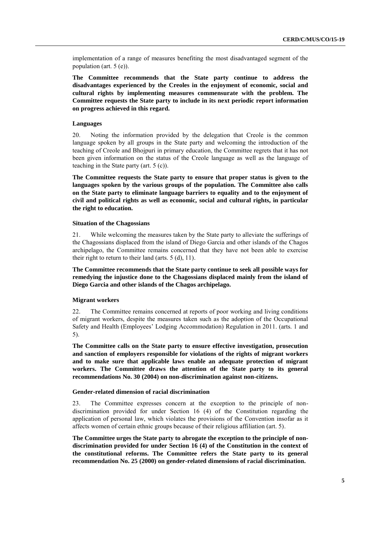implementation of a range of measures benefiting the most disadvantaged segment of the population (art. 5 (e)).

**The Committee recommends that the State party continue to address the disadvantages experienced by the Creoles in the enjoyment of economic, social and cultural rights by implementing measures commensurate with the problem. The Committee requests the State party to include in its next periodic report information on progress achieved in this regard.**

#### **Languages**

20. Noting the information provided by the delegation that Creole is the common language spoken by all groups in the State party and welcoming the introduction of the teaching of Creole and Bhojpuri in primary education, the Committee regrets that it has not been given information on the status of the Creole language as well as the language of teaching in the State party (art. 5 (c)).

**The Committee requests the State party to ensure that proper status is given to the languages spoken by the various groups of the population. The Committee also calls on the State party to eliminate language barriers to equality and to the enjoyment of civil and political rights as well as economic, social and cultural rights, in particular the right to education.**

#### **Situation of the Chagossians**

21. While welcoming the measures taken by the State party to alleviate the sufferings of the Chagossians displaced from the island of Diego Garcia and other islands of the Chagos archipelago, the Committee remains concerned that they have not been able to exercise their right to return to their land (arts. 5 (d), 11).

**The Committee recommends that the State party continue to seek all possible ways for remedying the injustice done to the Chagossians displaced mainly from the island of Diego Garcia and other islands of the Chagos archipelago.**

#### **Migrant workers**

22. The Committee remains concerned at reports of poor working and living conditions of migrant workers, despite the measures taken such as the adoption of the Occupational Safety and Health (Employees' Lodging Accommodation) Regulation in 2011. (arts. 1 and 5).

**The Committee calls on the State party to ensure effective investigation, prosecution and sanction of employers responsible for violations of the rights of migrant workers and to make sure that applicable laws enable an adequate protection of migrant workers. The Committee draws the attention of the State party to its general recommendations No. 30 (2004) on non-discrimination against non-citizens.**

#### **Gender-related dimension of racial discrimination**

23. The Committee expresses concern at the exception to the principle of nondiscrimination provided for under Section 16 (4) of the Constitution regarding the application of personal law, which violates the provisions of the Convention insofar as it affects women of certain ethnic groups because of their religious affiliation (art. 5).

**The Committee urges the State party to abrogate the exception to the principle of nondiscrimination provided for under Section 16 (4) of the Constitution in the context of the constitutional reforms. The Committee refers the State party to its general recommendation No. 25 (2000) on gender-related dimensions of racial discrimination.**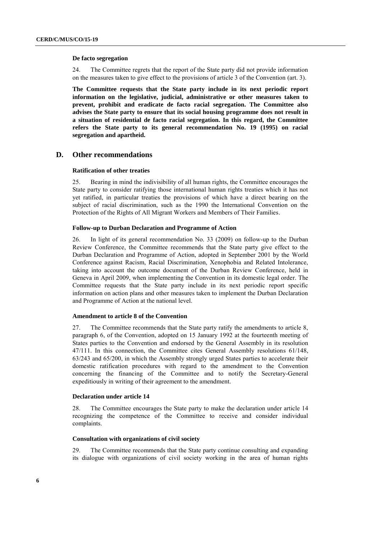#### **De facto segregation**

24. The Committee regrets that the report of the State party did not provide information on the measures taken to give effect to the provisions of article 3 of the Convention (art. 3).

**The Committee requests that the State party include in its next periodic report information on the legislative, judicial, administrative or other measures taken to prevent, prohibit and eradicate de facto racial segregation. The Committee also advises the State party to ensure that its social housing programme does not result in a situation of residential de facto racial segregation. In this regard, the Committee refers the State party to its general recommendation No. 19 (1995) on racial segregation and apartheid.**

#### **D. Other recommendations**

#### **Ratification of other treaties**

25. Bearing in mind the indivisibility of all human rights, the Committee encourages the State party to consider ratifying those international human rights treaties which it has not yet ratified, in particular treaties the provisions of which have a direct bearing on the subject of racial discrimination, such as the 1990 the International Convention on the Protection of the Rights of All Migrant Workers and Members of Their Families.

#### **Follow-up to Durban Declaration and Programme of Action**

26. In light of its general recommendation No. 33 (2009) on follow-up to the Durban Review Conference, the Committee recommends that the State party give effect to the Durban Declaration and Programme of Action, adopted in September 2001 by the World Conference against Racism, Racial Discrimination, Xenophobia and Related Intolerance, taking into account the outcome document of the Durban Review Conference, held in Geneva in April 2009, when implementing the Convention in its domestic legal order. The Committee requests that the State party include in its next periodic report specific information on action plans and other measures taken to implement the Durban Declaration and Programme of Action at the national level.

#### **Amendment to article 8 of the Convention**

27. The Committee recommends that the State party ratify the amendments to article 8, paragraph 6, of the Convention, adopted on 15 January 1992 at the fourteenth meeting of States parties to the Convention and endorsed by the General Assembly in its resolution 47/111. In this connection, the Committee cites General Assembly resolutions 61/148, 63/243 and 65/200, in which the Assembly strongly urged States parties to accelerate their domestic ratification procedures with regard to the amendment to the Convention concerning the financing of the Committee and to notify the Secretary-General expeditiously in writing of their agreement to the amendment.

#### **Declaration under article 14**

28. The Committee encourages the State party to make the declaration under article 14 recognizing the competence of the Committee to receive and consider individual complaints.

#### **Consultation with organizations of civil society**

29. The Committee recommends that the State party continue consulting and expanding its dialogue with organizations of civil society working in the area of human rights